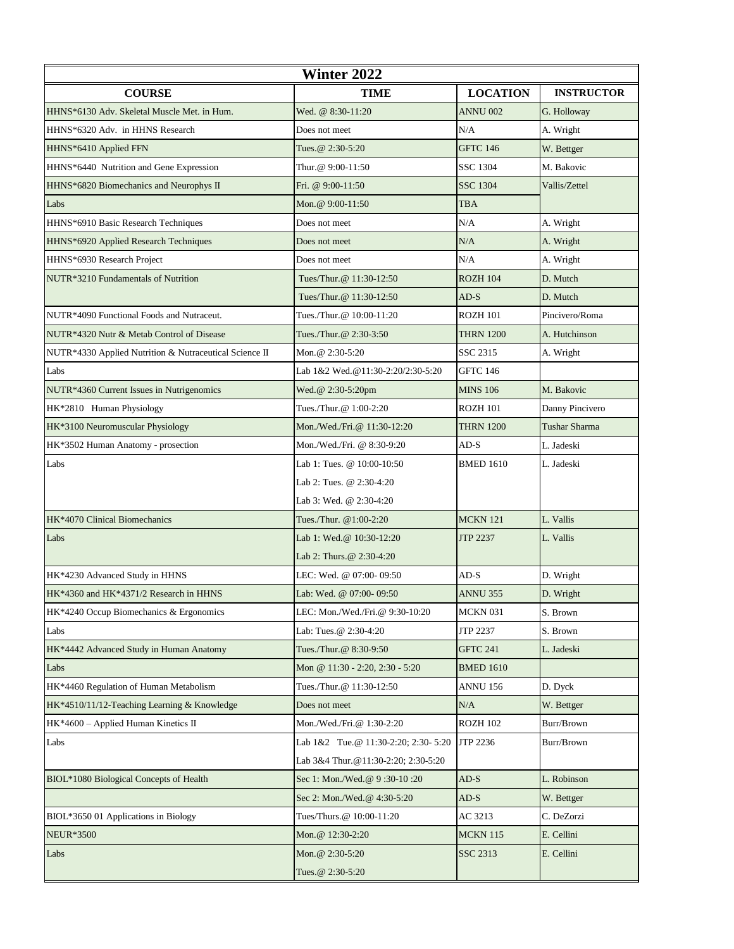| <b>Winter 2022</b>                                     |                                      |                  |                      |  |
|--------------------------------------------------------|--------------------------------------|------------------|----------------------|--|
| <b>COURSE</b>                                          | <b>TIME</b>                          | <b>LOCATION</b>  | <b>INSTRUCTOR</b>    |  |
| HHNS*6130 Adv. Skeletal Muscle Met. in Hum.            | Wed. @ 8:30-11:20                    | <b>ANNU 002</b>  | G. Holloway          |  |
| HHNS*6320 Adv. in HHNS Research                        | Does not meet                        | N/A              | A. Wright            |  |
| HHNS*6410 Applied FFN                                  | Tues. @ 2:30-5:20                    | <b>GFTC 146</b>  | W. Bettger           |  |
| HHNS*6440 Nutrition and Gene Expression                | Thur. @ 9:00-11:50                   | <b>SSC 1304</b>  | M. Bakovic           |  |
| HHNS*6820 Biomechanics and Neurophys II                | Fri. @ 9:00-11:50                    | <b>SSC 1304</b>  | Vallis/Zettel        |  |
| Labs                                                   | Mon.@ 9:00-11:50                     | <b>TBA</b>       |                      |  |
| HHNS*6910 Basic Research Techniques                    | Does not meet                        | N/A              | A. Wright            |  |
| HHNS*6920 Applied Research Techniques                  | Does not meet                        | N/A              | A. Wright            |  |
| HHNS*6930 Research Project                             | Does not meet                        | N/A              | A. Wright            |  |
| NUTR*3210 Fundamentals of Nutrition                    | Tues/Thur.@ 11:30-12:50              | <b>ROZH 104</b>  | D. Mutch             |  |
|                                                        | Tues/Thur.@ 11:30-12:50              | $AD-S$           | D. Mutch             |  |
| NUTR*4090 Functional Foods and Nutraceut.              | Tues./Thur.@ 10:00-11:20             | <b>ROZH 101</b>  | Pincivero/Roma       |  |
| NUTR*4320 Nutr & Metab Control of Disease              | Tues./Thur.@ 2:30-3:50               | <b>THRN 1200</b> | A. Hutchinson        |  |
| NUTR*4330 Applied Nutrition & Nutraceutical Science II | Mon.@ 2:30-5:20                      | SSC 2315         | A. Wright            |  |
| Labs                                                   | Lab 1&2 Wed.@11:30-2:20/2:30-5:20    | <b>GFTC 146</b>  |                      |  |
| NUTR*4360 Current Issues in Nutrigenomics              | Wed.@ 2:30-5:20pm                    | <b>MINS 106</b>  | M. Bakovic           |  |
| HK*2810 Human Physiology                               | Tues./Thur.@ 1:00-2:20               | <b>ROZH 101</b>  | Danny Pincivero      |  |
| HK*3100 Neuromuscular Physiology                       | Mon./Wed./Fri.@ 11:30-12:20          | <b>THRN 1200</b> | <b>Tushar Sharma</b> |  |
| HK*3502 Human Anatomy - prosection                     | Mon./Wed./Fri. @ 8:30-9:20           | $AD-S$           | L. Jadeski           |  |
| Labs                                                   | Lab 1: Tues. @ 10:00-10:50           | <b>BMED 1610</b> | L. Jadeski           |  |
|                                                        | Lab 2: Tues. @ 2:30-4:20             |                  |                      |  |
|                                                        | Lab 3: Wed. @ 2:30-4:20              |                  |                      |  |
| HK*4070 Clinical Biomechanics                          | Tues./Thur. @1:00-2:20               | <b>MCKN 121</b>  | L. Vallis            |  |
| Labs                                                   | Lab 1: Wed.@ 10:30-12:20             | <b>JTP 2237</b>  | L. Vallis            |  |
|                                                        | Lab 2: Thurs. @ 2:30-4:20            |                  |                      |  |
| HK*4230 Advanced Study in HHNS                         | LEC: Wed. @ 07:00-09:50              | $AD-S$           | D. Wright            |  |
| HK*4360 and HK*4371/2 Research in HHNS                 | Lab: Wed. @ 07:00-09:50              | <b>ANNU 355</b>  | D. Wright            |  |
| HK*4240 Occup Biomechanics & Ergonomics                | LEC: Mon./Wed./Fri.@ 9:30-10:20      | MCKN 031         | S. Brown             |  |
| Labs                                                   | Lab: Tues.@ 2:30-4:20                | JTP 2237         | S. Brown             |  |
| HK*4442 Advanced Study in Human Anatomy                | Tues./Thur.@ 8:30-9:50               | <b>GFTC 241</b>  | L. Jadeski           |  |
| Labs                                                   | Mon @ 11:30 - 2:20, 2:30 - 5:20      | <b>BMED 1610</b> |                      |  |
| HK*4460 Regulation of Human Metabolism                 | Tues./Thur.@ 11:30-12:50             | <b>ANNU 156</b>  | D. Dyck              |  |
| HK*4510/11/12-Teaching Learning & Knowledge            | Does not meet                        | N/A              | W. Bettger           |  |
| HK*4600 - Applied Human Kinetics II                    | Mon./Wed./Fri.@ 1:30-2:20            | <b>ROZH 102</b>  | Burr/Brown           |  |
| Labs                                                   | Lab 1&2 Tue.@ 11:30-2:20; 2:30- 5:20 | JTP 2236         | Burr/Brown           |  |
|                                                        | Lab 3&4 Thur. @11:30-2:20; 2:30-5:20 |                  |                      |  |
| BIOL*1080 Biological Concepts of Health                | Sec 1: Mon./Wed.@ 9:30-10:20         | $AD-S$           | L. Robinson          |  |
|                                                        | Sec 2: Mon./Wed.@ 4:30-5:20          | $AD-S$           | W. Bettger           |  |
| BIOL*3650 01 Applications in Biology                   | Tues/Thurs.@ 10:00-11:20             | AC 3213          | C. DeZorzi           |  |
| <b>NEUR*3500</b>                                       | Mon.@ 12:30-2:20                     | <b>MCKN 115</b>  | E. Cellini           |  |
| Labs                                                   | Mon. @ $2:30-5:20$                   | SSC 2313         | E. Cellini           |  |
|                                                        | Tues. @ 2:30-5:20                    |                  |                      |  |